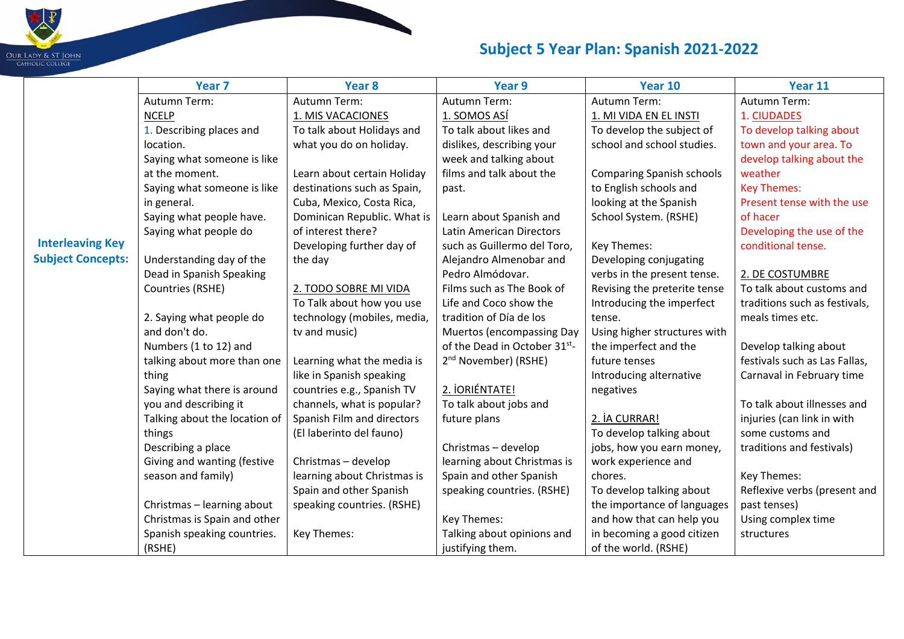

|                          | Year <sub>7</sub>             | Year 8                      | Year 9                           | Year 10                          | Year 11                       |
|--------------------------|-------------------------------|-----------------------------|----------------------------------|----------------------------------|-------------------------------|
|                          | Autumn Term:                  | Autumn Term:                | Autumn Term:                     | Autumn Term:                     | Autumn Term:                  |
|                          | <b>NCELP</b>                  | 1. MIS VACACIONES           | 1. SOMOS ASÍ                     | 1. MI VIDA EN EL INSTI           | 1. CIUDADES                   |
|                          | 1. Describing places and      | To talk about Holidays and  | To talk about likes and          | To develop the subject of        | To develop talking about      |
|                          | location.                     | what you do on holiday.     | dislikes, describing your        | school and school studies.       | town and your area. To        |
|                          | Saying what someone is like   |                             | week and talking about           |                                  | develop talking about the     |
|                          | at the moment.                | Learn about certain Holiday | films and talk about the         | <b>Comparing Spanish schools</b> | weather                       |
|                          | Saying what someone is like   | destinations such as Spain, | past.                            | to English schools and           | <b>Key Themes:</b>            |
|                          | in general.                   | Cuba, Mexico, Costa Rica,   |                                  | looking at the Spanish           | Present tense with the use    |
|                          | Saying what people have.      | Dominican Republic. What is | Learn about Spanish and          | School System. (RSHE)            | of hacer                      |
|                          | Saying what people do         | of interest there?          | Latin American Directors         |                                  | Developing the use of the     |
| <b>Interleaving Key</b>  |                               | Developing further day of   | such as Guillermo del Toro,      | Key Themes:                      | conditional tense.            |
| <b>Subject Concepts:</b> | Understanding day of the      | the day                     | Alejandro Almenobar and          | Developing conjugating           |                               |
|                          | Dead in Spanish Speaking      |                             | Pedro Almódovar.                 | verbs in the present tense.      | 2. DE COSTUMBRE               |
|                          | Countries (RSHE)              | 2. TODO SOBRE MI VIDA       | Films such as The Book of        | Revising the preterite tense     | To talk about customs and     |
|                          |                               | To Talk about how you use   | Life and Coco show the           | Introducing the imperfect        | traditions such as festivals, |
|                          | 2. Saying what people do      | technology (mobiles, media, | tradition of Día de los          | tense.                           | meals times etc.              |
|                          | and don't do.                 | tv and music)               | <b>Muertos (encompassing Day</b> | Using higher structures with     |                               |
|                          | Numbers (1 to 12) and         |                             | of the Dead in October 31st-     | the imperfect and the            | Develop talking about         |
|                          | talking about more than one   | Learning what the media is  | 2 <sup>nd</sup> November) (RSHE) | future tenses                    | festivals such as Las Fallas, |
|                          | thing                         | like in Spanish speaking    |                                  | Introducing alternative          | Carnaval in February time     |
|                          | Saying what there is around   | countries e.g., Spanish TV  | 2. IORIÉNTATE!                   | negatives                        |                               |
|                          | you and describing it         | channels, what is popular?  | To talk about jobs and           |                                  | To talk about illnesses and   |
|                          | Talking about the location of | Spanish Film and directors  | future plans                     | 2. İA CURRAR!                    | injuries (can link in with    |
|                          | things                        | (El laberinto del fauno)    |                                  | To develop talking about         | some customs and              |
|                          | Describing a place            |                             | Christmas - develop              | jobs, how you earn money,        | traditions and festivals)     |
|                          | Giving and wanting (festive   | Christmas - develop         | learning about Christmas is      | work experience and              |                               |
|                          | season and family)            | learning about Christmas is | Spain and other Spanish          | chores.                          | Key Themes:                   |
|                          |                               | Spain and other Spanish     | speaking countries. (RSHE)       | To develop talking about         | Reflexive verbs (present and  |
|                          | Christmas - learning about    | speaking countries. (RSHE)  |                                  | the importance of languages      | past tenses)                  |
|                          | Christmas is Spain and other  |                             | Key Themes:                      | and how that can help you        | Using complex time            |
|                          | Spanish speaking countries.   | Key Themes:                 | Talking about opinions and       | in becoming a good citizen       | structures                    |
|                          | (RSHE)                        |                             | justifying them.                 | of the world. (RSHE)             |                               |

**Report**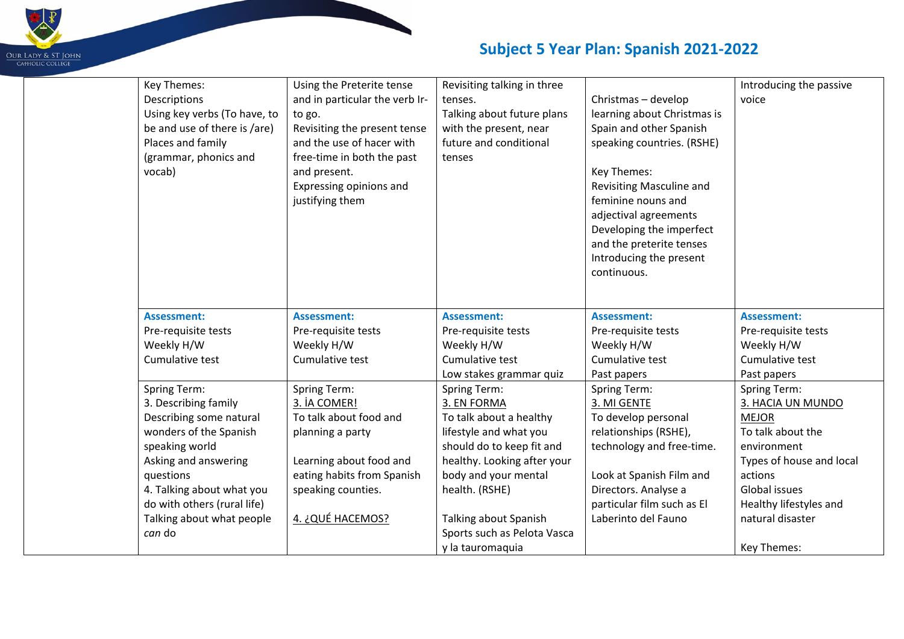

| Key Themes:                  | Using the Preterite tense      | Revisiting talking in three |                             | Introducing the passive  |
|------------------------------|--------------------------------|-----------------------------|-----------------------------|--------------------------|
| Descriptions                 | and in particular the verb Ir- | tenses.                     | Christmas - develop         | voice                    |
| Using key verbs (To have, to | to go.                         | Talking about future plans  | learning about Christmas is |                          |
| be and use of there is /are) | Revisiting the present tense   | with the present, near      | Spain and other Spanish     |                          |
| Places and family            | and the use of hacer with      | future and conditional      | speaking countries. (RSHE)  |                          |
| (grammar, phonics and        | free-time in both the past     | tenses                      |                             |                          |
| vocab)                       | and present.                   |                             | Key Themes:                 |                          |
|                              | Expressing opinions and        |                             | Revisiting Masculine and    |                          |
|                              | justifying them                |                             | feminine nouns and          |                          |
|                              |                                |                             | adjectival agreements       |                          |
|                              |                                |                             | Developing the imperfect    |                          |
|                              |                                |                             | and the preterite tenses    |                          |
|                              |                                |                             | Introducing the present     |                          |
|                              |                                |                             | continuous.                 |                          |
|                              |                                |                             |                             |                          |
|                              |                                |                             |                             |                          |
| <b>Assessment:</b>           | <b>Assessment:</b>             | <b>Assessment:</b>          | <b>Assessment:</b>          | <b>Assessment:</b>       |
| Pre-requisite tests          | Pre-requisite tests            | Pre-requisite tests         | Pre-requisite tests         | Pre-requisite tests      |
| Weekly H/W                   | Weekly H/W                     | Weekly H/W                  | Weekly H/W                  | Weekly H/W               |
| Cumulative test              | Cumulative test                | Cumulative test             | Cumulative test             | Cumulative test          |
|                              |                                | Low stakes grammar quiz     | Past papers                 | Past papers              |
| <b>Spring Term:</b>          | <b>Spring Term:</b>            | <b>Spring Term:</b>         | <b>Spring Term:</b>         | Spring Term:             |
| 3. Describing family         | 3. İA COMER!                   | 3. EN FORMA                 | 3. MI GENTE                 | 3. HACIA UN MUNDO        |
| Describing some natural      | To talk about food and         | To talk about a healthy     | To develop personal         | <b>MEJOR</b>             |
| wonders of the Spanish       | planning a party               | lifestyle and what you      | relationships (RSHE),       | To talk about the        |
| speaking world               |                                | should do to keep fit and   | technology and free-time.   | environment              |
| Asking and answering         | Learning about food and        | healthy. Looking after your |                             | Types of house and local |
| questions                    | eating habits from Spanish     | body and your mental        | Look at Spanish Film and    | actions                  |
| 4. Talking about what you    | speaking counties.             | health. (RSHE)              | Directors. Analyse a        | Global issues            |
| do with others (rural life)  |                                |                             | particular film such as El  | Healthy lifestyles and   |
| Talking about what people    | 4. ¿QUÉ HACEMOS?               | Talking about Spanish       | Laberinto del Fauno         | natural disaster         |
| can do                       |                                | Sports such as Pelota Vasca |                             |                          |
|                              |                                | y la tauromaquia            |                             | Key Themes:              |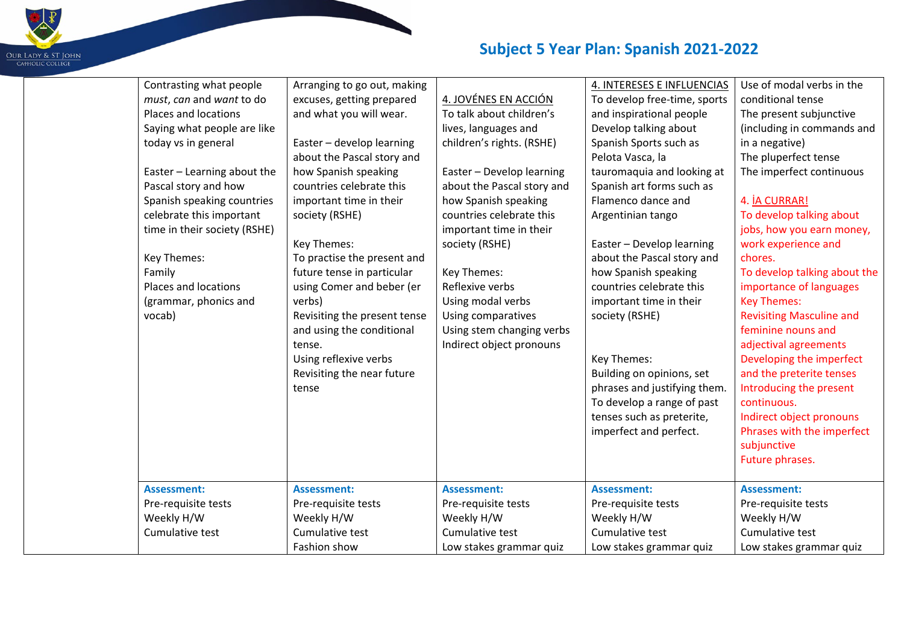

| Contrasting what people      | Arranging to go out, making  |                            | 4. INTERESES E INFLUENCIAS   | Use of modal verbs in the       |
|------------------------------|------------------------------|----------------------------|------------------------------|---------------------------------|
| must, can and want to do     | excuses, getting prepared    | 4. JOVÉNES EN ACCIÓN       | To develop free-time, sports | conditional tense               |
| Places and locations         | and what you will wear.      | To talk about children's   | and inspirational people     | The present subjunctive         |
| Saying what people are like  |                              | lives, languages and       | Develop talking about        | (including in commands and      |
| today vs in general          | Easter - develop learning    | children's rights. (RSHE)  | Spanish Sports such as       | in a negative)                  |
|                              | about the Pascal story and   |                            | Pelota Vasca, la             | The pluperfect tense            |
| Easter - Learning about the  | how Spanish speaking         | Easter - Develop learning  | tauromaquia and looking at   | The imperfect continuous        |
| Pascal story and how         | countries celebrate this     | about the Pascal story and | Spanish art forms such as    |                                 |
| Spanish speaking countries   | important time in their      | how Spanish speaking       | Flamenco dance and           | 4. İA CURRAR!                   |
| celebrate this important     | society (RSHE)               | countries celebrate this   | Argentinian tango            | To develop talking about        |
| time in their society (RSHE) |                              | important time in their    |                              | jobs, how you earn money,       |
|                              | Key Themes:                  | society (RSHE)             | Easter - Develop learning    | work experience and             |
| Key Themes:                  | To practise the present and  |                            | about the Pascal story and   | chores.                         |
| Family                       | future tense in particular   | Key Themes:                | how Spanish speaking         | To develop talking about the    |
| Places and locations         | using Comer and beber (er    | Reflexive verbs            | countries celebrate this     | importance of languages         |
| (grammar, phonics and        | verbs)                       | Using modal verbs          | important time in their      | <b>Key Themes:</b>              |
| vocab)                       | Revisiting the present tense | Using comparatives         | society (RSHE)               | <b>Revisiting Masculine and</b> |
|                              | and using the conditional    | Using stem changing verbs  |                              | feminine nouns and              |
|                              | tense.                       | Indirect object pronouns   |                              | adjectival agreements           |
|                              | Using reflexive verbs        |                            | Key Themes:                  | Developing the imperfect        |
|                              | Revisiting the near future   |                            | Building on opinions, set    | and the preterite tenses        |
|                              | tense                        |                            | phrases and justifying them. | Introducing the present         |
|                              |                              |                            | To develop a range of past   | continuous.                     |
|                              |                              |                            | tenses such as preterite,    | Indirect object pronouns        |
|                              |                              |                            | imperfect and perfect.       | Phrases with the imperfect      |
|                              |                              |                            |                              | subjunctive                     |
|                              |                              |                            |                              | Future phrases.                 |
|                              |                              |                            |                              |                                 |
| <b>Assessment:</b>           | <b>Assessment:</b>           | <b>Assessment:</b>         | <b>Assessment:</b>           | <b>Assessment:</b>              |
| Pre-requisite tests          | Pre-requisite tests          | Pre-requisite tests        | Pre-requisite tests          | Pre-requisite tests             |
| Weekly H/W                   | Weekly H/W                   | Weekly H/W                 | Weekly H/W                   | Weekly H/W                      |
| Cumulative test              | Cumulative test              | Cumulative test            | Cumulative test              | Cumulative test                 |
|                              | Fashion show                 | Low stakes grammar quiz    | Low stakes grammar quiz      | Low stakes grammar quiz         |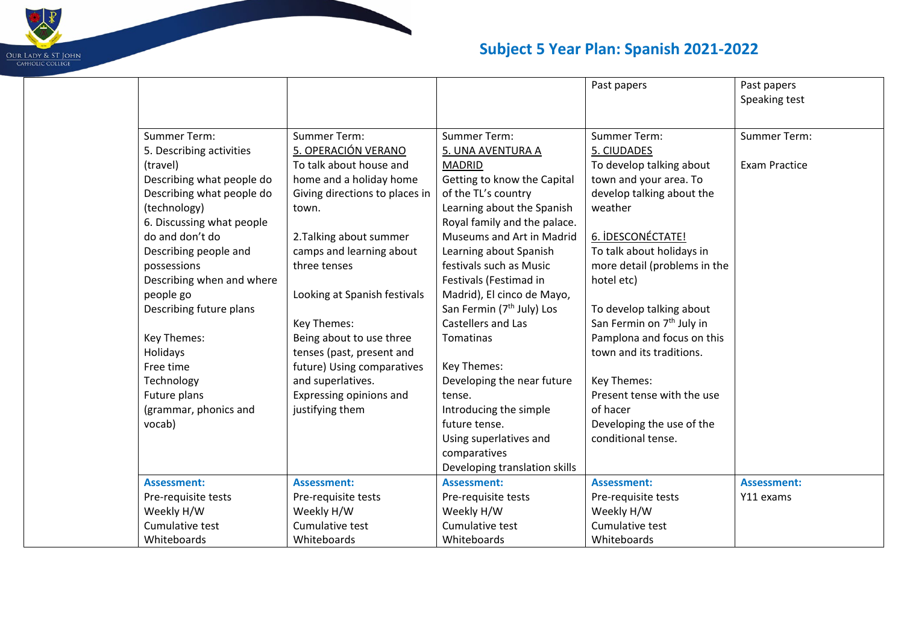

|                           |                                |                                       | Past papers                           | Past papers<br>Speaking test |
|---------------------------|--------------------------------|---------------------------------------|---------------------------------------|------------------------------|
|                           |                                |                                       |                                       |                              |
| <b>Summer Term:</b>       | <b>Summer Term:</b>            | <b>Summer Term:</b>                   | <b>Summer Term:</b>                   | <b>Summer Term:</b>          |
| 5. Describing activities  | 5. OPERACIÓN VERANO            | 5. UNA AVENTURA A                     | 5. CIUDADES                           |                              |
| (travel)                  | To talk about house and        | <b>MADRID</b>                         | To develop talking about              | <b>Exam Practice</b>         |
| Describing what people do | home and a holiday home        | Getting to know the Capital           | town and your area. To                |                              |
| Describing what people do | Giving directions to places in | of the TL's country                   | develop talking about the             |                              |
| (technology)              | town.                          | Learning about the Spanish            | weather                               |                              |
| 6. Discussing what people |                                | Royal family and the palace.          |                                       |                              |
| do and don't do           | 2. Talking about summer        | Museums and Art in Madrid             | 6. IDESCONÉCTATE!                     |                              |
| Describing people and     | camps and learning about       | Learning about Spanish                | To talk about holidays in             |                              |
| possessions               | three tenses                   | festivals such as Music               | more detail (problems in the          |                              |
| Describing when and where |                                | Festivals (Festimad in                | hotel etc)                            |                              |
| people go                 | Looking at Spanish festivals   | Madrid), El cinco de Mayo,            |                                       |                              |
| Describing future plans   |                                | San Fermin (7 <sup>th</sup> July) Los | To develop talking about              |                              |
|                           | Key Themes:                    | Castellers and Las                    | San Fermin on 7 <sup>th</sup> July in |                              |
| Key Themes:               | Being about to use three       | <b>Tomatinas</b>                      | Pamplona and focus on this            |                              |
| Holidays                  | tenses (past, present and      |                                       | town and its traditions.              |                              |
| Free time                 | future) Using comparatives     | Key Themes:                           |                                       |                              |
| Technology                | and superlatives.              | Developing the near future            | Key Themes:                           |                              |
| Future plans              | Expressing opinions and        | tense.                                | Present tense with the use            |                              |
| (grammar, phonics and     | justifying them                | Introducing the simple                | of hacer                              |                              |
| vocab)                    |                                | future tense.                         | Developing the use of the             |                              |
|                           |                                | Using superlatives and                | conditional tense.                    |                              |
|                           |                                | comparatives                          |                                       |                              |
|                           |                                | Developing translation skills         |                                       |                              |
| <b>Assessment:</b>        | <b>Assessment:</b>             | <b>Assessment:</b>                    | <b>Assessment:</b>                    | <b>Assessment:</b>           |
| Pre-requisite tests       | Pre-requisite tests            | Pre-requisite tests                   | Pre-requisite tests                   | Y11 exams                    |
| Weekly H/W                | Weekly H/W                     | Weekly H/W                            | Weekly H/W                            |                              |
| Cumulative test           | Cumulative test                | Cumulative test                       | Cumulative test                       |                              |
| Whiteboards               | Whiteboards                    | Whiteboards                           | Whiteboards                           |                              |